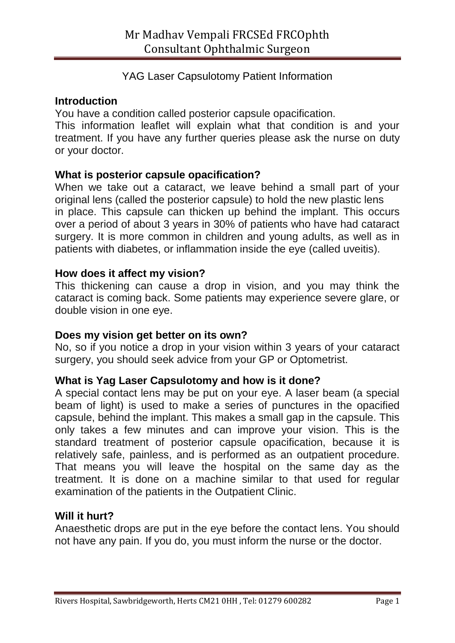# YAG Laser Capsulotomy Patient Information

### **Introduction**

You have a condition called posterior capsule opacification.

This information leaflet will explain what that condition is and your treatment. If you have any further queries please ask the nurse on duty or your doctor.

## **What is posterior capsule opacification?**

When we take out a cataract, we leave behind a small part of your original lens (called the posterior capsule) to hold the new plastic lens in place. This capsule can thicken up behind the implant. This occurs over a period of about 3 years in 30% of patients who have had cataract surgery. It is more common in children and young adults, as well as in patients with diabetes, or inflammation inside the eye (called uveitis).

## **How does it affect my vision?**

This thickening can cause a drop in vision, and you may think the cataract is coming back. Some patients may experience severe glare, or double vision in one eye.

### **Does my vision get better on its own?**

No, so if you notice a drop in your vision within 3 years of your cataract surgery, you should seek advice from your GP or Optometrist.

### **What is Yag Laser Capsulotomy and how is it done?**

A special contact lens may be put on your eye. A laser beam (a special beam of light) is used to make a series of punctures in the opacified capsule, behind the implant. This makes a small gap in the capsule. This only takes a few minutes and can improve your vision. This is the standard treatment of posterior capsule opacification, because it is relatively safe, painless, and is performed as an outpatient procedure. That means you will leave the hospital on the same day as the treatment. It is done on a machine similar to that used for regular examination of the patients in the Outpatient Clinic.

### **Will it hurt?**

Anaesthetic drops are put in the eye before the contact lens. You should not have any pain. If you do, you must inform the nurse or the doctor.